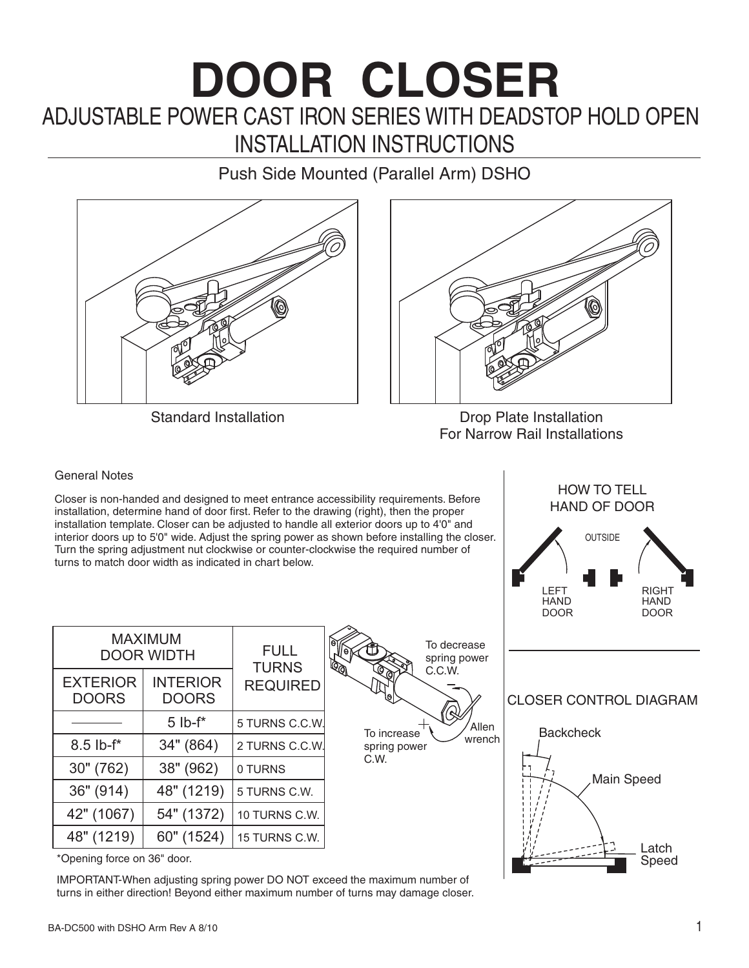# ADJUSTABLE POWER CAST IRON SERIES WITH DEADSTOP HOLD OPEN **DOOR CLOSER** INSTALLATION INSTRUCTIONS

Push Side Mounted (Parallel Arm) DSHO





Standard Installation **Drop Plate Installation** For Narrow Rail Installations

HOW TO TELL HAND OF DOOR

#### General Notes

Closer is non-handed and designed to meet entrance accessibility requirements. Before installation, determine hand of door first. Refer to the drawing (right), then the proper installation template. Closer can be adjusted to handle all exterior interior doors up to 5'0" wide. Adjust the spring power as shown Turn the spring adjustment nut clockwise or counter-clockwise th turns to match door width as indicated in chart below.

| ynt), thon the proper<br>or doors up to 4'0" and<br>before installing the closer.<br>he required number of | <b>OUTSIDE</b><br>LEFT<br><b>HAND</b><br><b>DOOR</b> | <b>RIGHT</b><br><b>HAND</b><br><b>DOOR</b> |
|------------------------------------------------------------------------------------------------------------|------------------------------------------------------|--------------------------------------------|
| To decrease<br>spring power<br>C.C.W.<br>(Q<br>Allen<br>To increase<br>wrench<br>spring power<br>C.W.      | <b>CLOSER CONTROL DIAGRAM</b><br><b>Backcheck</b>    | Main Speed<br>Latch<br>Speed               |

| <b>MAXIMUM</b><br><b>DOOR WIDTH</b> |                                 | <b>FULL</b><br><b>TURNS</b> |
|-------------------------------------|---------------------------------|-----------------------------|
| <b>EXTERIOR</b><br><b>DOORS</b>     | <b>INTERIOR</b><br><b>DOORS</b> | <b>REQUIRED</b>             |
|                                     | $5$ lb- $f^*$                   | 5 TURNS C.C.W.              |
| $8.5$ lb- $f^*$                     | 34" (864)                       | 2 TURNS C.C.W.              |
| 30" (762)                           | 38" (962)                       | 0 TURNS                     |
| 36" (914)                           | 48" (1219)                      | 5 TURNS C.W.                |
| 42" (1067)                          | 54" (1372)                      | 10 TURNS C.W.               |
| 48" (1219)                          | 60" (1524)                      | 15 TURNS C.W.               |

\*Opening force on 36" door.

IMPORTANT-When adjusting spring power DO NOT exceed the maximum number of turns in either direction! Beyond either maximum number of turns may damage closer.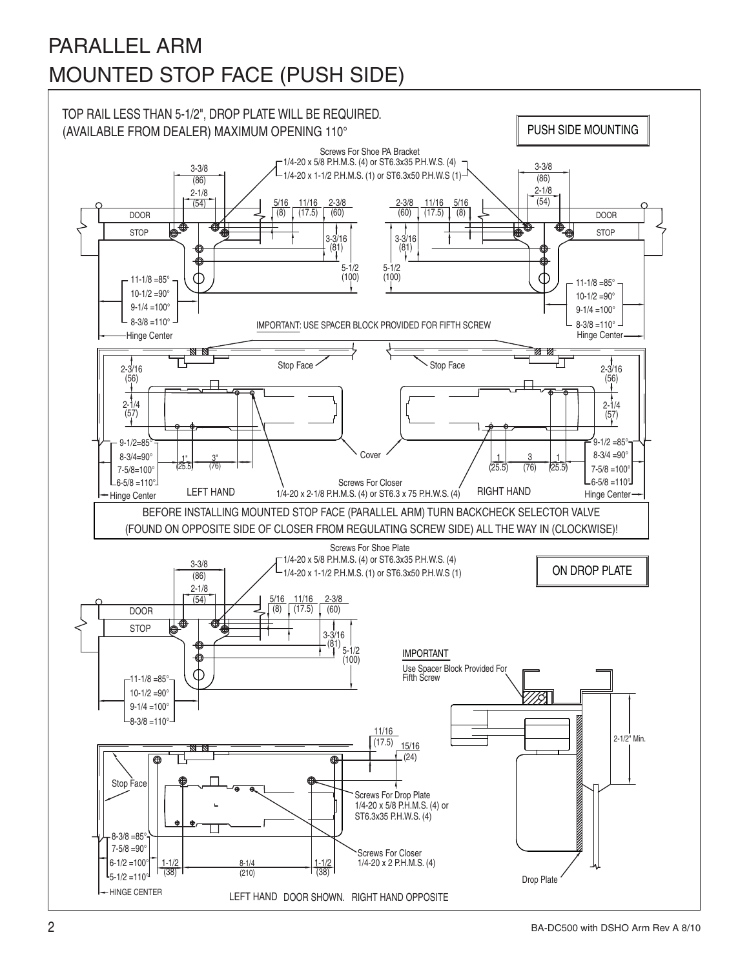## PARALLEL ARM MOUNTED STOP FACE (PUSH SIDE)